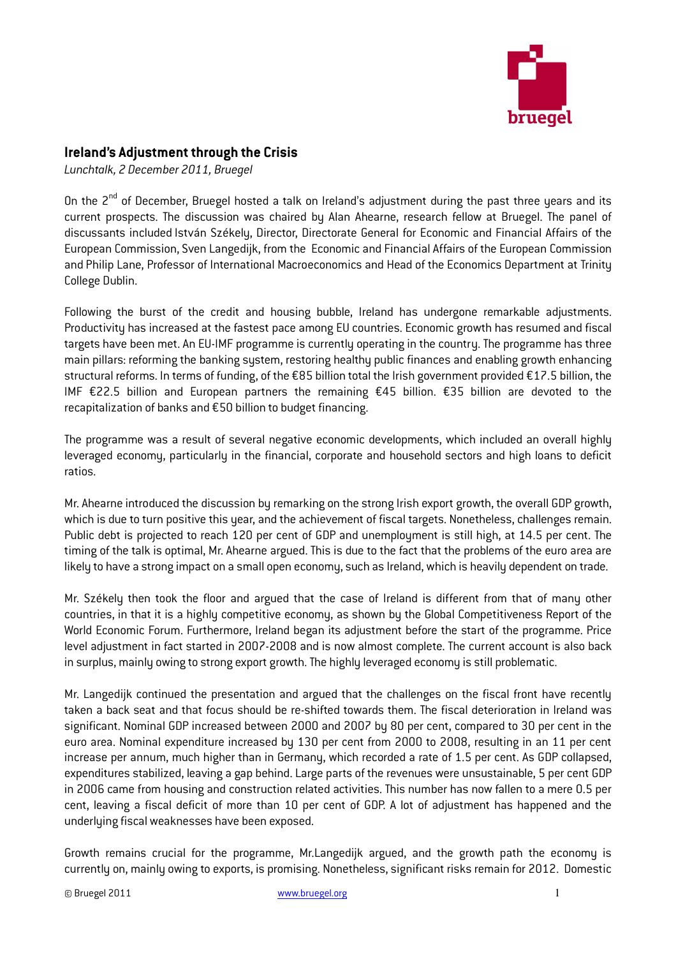

## Ireland's Adjustment through the Crisis

Lunchtalk, 2 December 2011, Bruegel

On the 2<sup>nd</sup> of December, Bruegel hosted a talk on Ireland's adjustment during the past three years and its current prospects. The discussion was chaired by Alan Ahearne, research fellow at Bruegel. The panel of discussants included István Székely, Director, Directorate General for Economic and Financial Affairs of the European Commission, Sven Langedijk, from the Economic and Financial Affairs of the European Commission and Philip Lane, Professor of International Macroeconomics and Head of the Economics Department at Trinity College Dublin.

Following the burst of the credit and housing bubble, Ireland has undergone remarkable adjustments. Productivity has increased at the fastest pace among EU countries. Economic growth has resumed and fiscal targets have been met. An EU-IMF programme is currently operating in the country. The programme has three main pillars: reforming the banking system, restoring healthy public finances and enabling growth enhancing structural reforms. In terms of funding, of the €85 billion total the Irish government provided €17.5 billion, the IMF €22.5 billion and European partners the remaining €45 billion. €35 billion are devoted to the recapitalization of banks and €50 billion to budget financing.

The programme was a result of several negative economic developments, which included an overall highly leveraged economy, particularly in the financial, corporate and household sectors and high loans to deficit ratios.

Mr. Ahearne introduced the discussion by remarking on the strong Irish export growth, the overall GDP growth, which is due to turn positive this year, and the achievement of fiscal targets. Nonetheless, challenges remain. Public debt is projected to reach 120 per cent of GDP and unemployment is still high, at 14.5 per cent. The timing of the talk is optimal, Mr. Ahearne argued. This is due to the fact that the problems of the euro area are likely to have a strong impact on a small open economy, such as Ireland, which is heavily dependent on trade.

Mr. Székely then took the floor and argued that the case of Ireland is different from that of many other countries, in that it is a highly competitive economy, as shown by the Global Competitiveness Report of the World Economic Forum. Furthermore, Ireland began its adjustment before the start of the programme. Price level adjustment in fact started in 2007-2008 and is now almost complete. The current account is also back in surplus, mainly owing to strong export growth. The highly leveraged economy is still problematic.

Mr. Langedijk continued the presentation and argued that the challenges on the fiscal front have recently taken a back seat and that focus should be re-shifted towards them. The fiscal deterioration in Ireland was significant. Nominal GDP increased between 2000 and 2007 by 80 per cent, compared to 30 per cent in the euro area. Nominal expenditure increased by 130 per cent from 2000 to 2008, resulting in an 11 per cent increase per annum, much higher than in Germany, which recorded a rate of 1.5 per cent. As GDP collapsed, expenditures stabilized, leaving a gap behind. Large parts of the revenues were unsustainable, 5 per cent GDP in 2006 came from housing and construction related activities. This number has now fallen to a mere 0.5 per cent, leaving a fiscal deficit of more than 10 per cent of GDP. A lot of adjustment has happened and the underlying fiscal weaknesses have been exposed.

Growth remains crucial for the programme, Mr.Langedijk argued, and the growth path the economy is currently on, mainly owing to exports, is promising. Nonetheless, significant risks remain for 2012. Domestic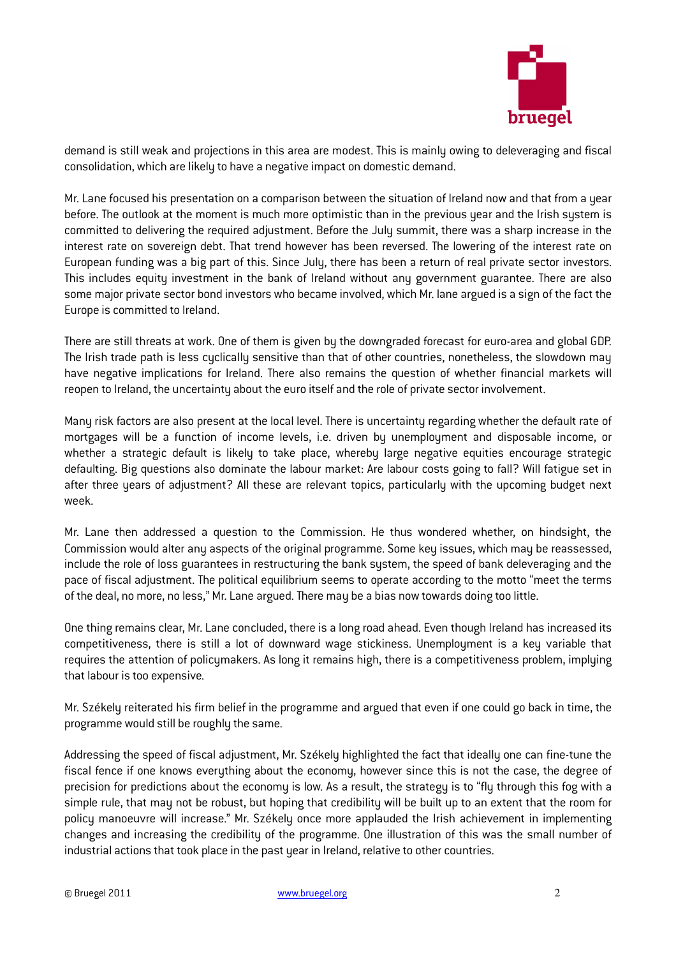

demand is still weak and projections in this area are modest. This is mainly owing to deleveraging and fiscal consolidation, which are likely to have a negative impact on domestic demand.

Mr. Lane focused his presentation on a comparison between the situation of Ireland now and that from a year before. The outlook at the moment is much more optimistic than in the previous year and the Irish system is committed to delivering the required adjustment. Before the July summit, there was a sharp increase in the interest rate on sovereign debt. That trend however has been reversed. The lowering of the interest rate on European funding was a big part of this. Since July, there has been a return of real private sector investors. This includes equity investment in the bank of Ireland without any government guarantee. There are also some major private sector bond investors who became involved, which Mr. lane argued is a sign of the fact the Europe is committed to Ireland.

There are still threats at work. One of them is given by the downgraded forecast for euro-area and global GDP. The Irish trade path is less cyclically sensitive than that of other countries, nonetheless, the slowdown may have negative implications for Ireland. There also remains the question of whether financial markets will reopen to Ireland, the uncertainty about the euro itself and the role of private sector involvement.

Many risk factors are also present at the local level. There is uncertainty regarding whether the default rate of mortgages will be a function of income levels, i.e. driven by unemployment and disposable income, or whether a strategic default is likely to take place, whereby large negative equities encourage strategic defaulting. Big questions also dominate the labour market: Are labour costs going to fall? Will fatigue set in after three years of adjustment? All these are relevant topics, particularly with the upcoming budget next week.

Mr. Lane then addressed a question to the Commission. He thus wondered whether, on hindsight, the Commission would alter any aspects of the original programme. Some key issues, which may be reassessed, include the role of loss guarantees in restructuring the bank system, the speed of bank deleveraging and the pace of fiscal adjustment. The political equilibrium seems to operate according to the motto "meet the terms of the deal, no more, no less," Mr. Lane argued. There may be a bias now towards doing too little.

One thing remains clear, Mr. Lane concluded, there is a long road ahead. Even though Ireland has increased its competitiveness, there is still a lot of downward wage stickiness. Unemployment is a key variable that requires the attention of policymakers. As long it remains high, there is a competitiveness problem, implying that labour is too expensive.

Mr. Székely reiterated his firm belief in the programme and argued that even if one could go back in time, the programme would still be roughly the same.

Addressing the speed of fiscal adjustment, Mr. Székely highlighted the fact that ideally one can fine-tune the fiscal fence if one knows everything about the economy, however since this is not the case, the degree of precision for predictions about the economy is low. As a result, the strategy is to "fly through this fog with a simple rule, that may not be robust, but hoping that credibility will be built up to an extent that the room for policy manoeuvre will increase." Mr. Székely once more applauded the Irish achievement in implementing changes and increasing the credibility of the programme. One illustration of this was the small number of industrial actions that took place in the past year in Ireland, relative to other countries.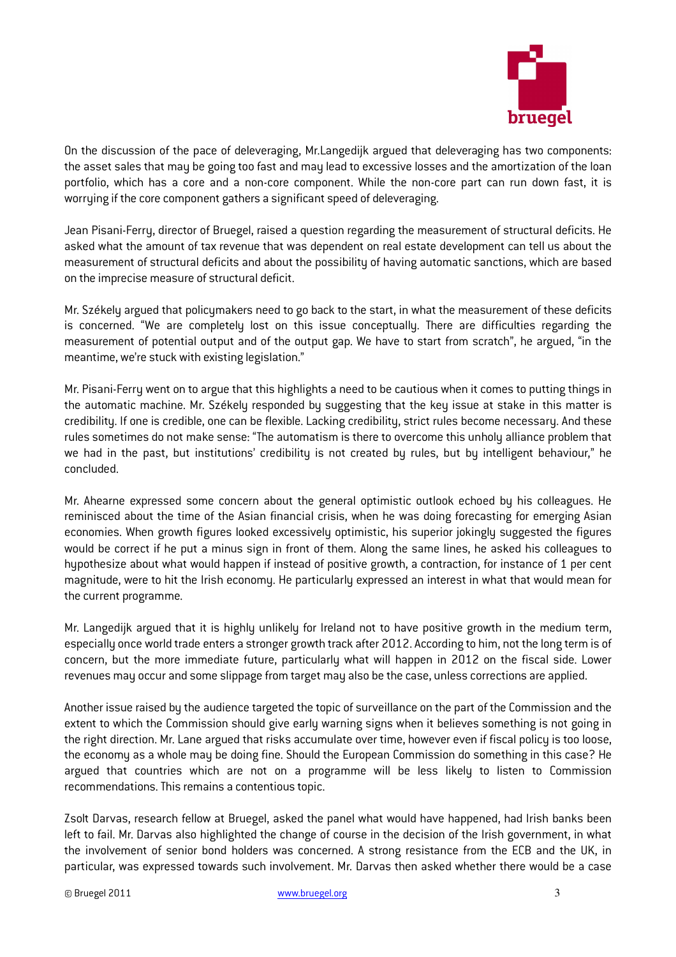

On the discussion of the pace of deleveraging, Mr.Langedijk argued that deleveraging has two components: the asset sales that may be going too fast and may lead to excessive losses and the amortization of the loan portfolio, which has a core and a non-core component. While the non-core part can run down fast, it is worrying if the core component gathers a significant speed of deleveraging.

Jean Pisani-Ferry, director of Bruegel, raised a question regarding the measurement of structural deficits. He asked what the amount of tax revenue that was dependent on real estate development can tell us about the measurement of structural deficits and about the possibility of having automatic sanctions, which are based on the imprecise measure of structural deficit.

Mr. Székely argued that policymakers need to go back to the start, in what the measurement of these deficits is concerned. "We are completely lost on this issue conceptually. There are difficulties regarding the measurement of potential output and of the output gap. We have to start from scratch", he argued, "in the meantime, we're stuck with existing legislation."

Mr. Pisani-Ferry went on to argue that this highlights a need to be cautious when it comes to putting things in the automatic machine. Mr. Székely responded by suggesting that the key issue at stake in this matter is credibility. If one is credible, one can be flexible. Lacking credibility, strict rules become necessary. And these rules sometimes do not make sense: "The automatism is there to overcome this unholy alliance problem that we had in the past, but institutions' credibility is not created by rules, but by intelligent behaviour," he concluded.

Mr. Ahearne expressed some concern about the general optimistic outlook echoed by his colleagues. He reminisced about the time of the Asian financial crisis, when he was doing forecasting for emerging Asian economies. When growth figures looked excessively optimistic, his superior jokingly suggested the figures would be correct if he put a minus sign in front of them. Along the same lines, he asked his colleagues to hypothesize about what would happen if instead of positive growth, a contraction, for instance of 1 per cent magnitude, were to hit the Irish economy. He particularly expressed an interest in what that would mean for the current programme.

Mr. Langedijk argued that it is highly unlikely for Ireland not to have positive growth in the medium term, especially once world trade enters a stronger growth track after 2012. According to him, not the long term is of concern, but the more immediate future, particularly what will happen in 2012 on the fiscal side. Lower revenues may occur and some slippage from target may also be the case, unless corrections are applied.

Another issue raised by the audience targeted the topic of surveillance on the part of the Commission and the extent to which the Commission should give early warning signs when it believes something is not going in the right direction. Mr. Lane argued that risks accumulate over time, however even if fiscal policy is too loose, the economy as a whole may be doing fine. Should the European Commission do something in this case? He argued that countries which are not on a programme will be less likely to listen to Commission recommendations. This remains a contentious topic.

Zsolt Darvas, research fellow at Bruegel, asked the panel what would have happened, had Irish banks been left to fail. Mr. Darvas also highlighted the change of course in the decision of the Irish government, in what the involvement of senior bond holders was concerned. A strong resistance from the ECB and the UK, in particular, was expressed towards such involvement. Mr. Darvas then asked whether there would be a case